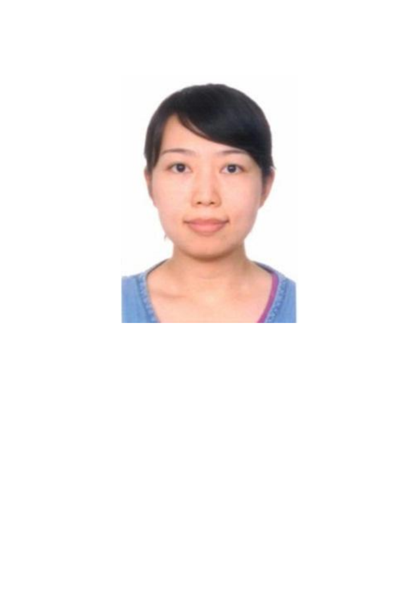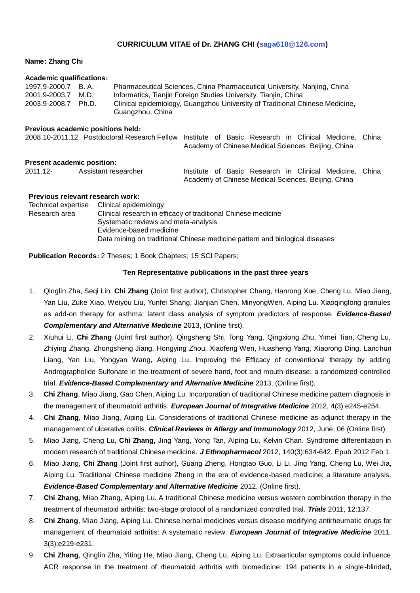# **CURRICULUM VITAE of Dr. ZHANG CHI [\(saga618@126.com\)](mailto:saga618@126.com)**

# **Name: Zhang Chi**

#### **Academic qualifications:**

| 1997.9-2000.7 | . — В. А. — | Pharmaceutical Sciences, China Pharmaceutical University, Nanjing, China     |
|---------------|-------------|------------------------------------------------------------------------------|
| 2001.9-2003.7 | M.D.        | Informatics, Tianjin Foreign Studies University, Tianjin, China              |
| 2003.9-2008.7 | Ph.D.       | Clinical epidemiology, Guangzhou University of Traditional Chinese Medicine, |
|               |             | Guangzhou, China                                                             |

#### **Previous academic positions held:**

2008.10-2011.12 Postdoctoral Research Fellow Institute of Basic Research in Clinical Medicine, China Academy of Chinese Medical Sciences, Beijing, China

#### **Present academic position:**

2011.12- Assistant researcher **Institute of Basic Research in Clinical Medicine**, China Academy of Chinese Medical Sciences, Beijing, China

## **Previous relevant research work:**

| Technical expertise | Clinical epidemiology                                                       |
|---------------------|-----------------------------------------------------------------------------|
| Research area       | Clinical research in efficacy of traditional Chinese medicine               |
|                     | Systematic reviews and meta-analysis                                        |
|                     | Evidence-based medicine                                                     |
|                     | Data mining on traditional Chinese medicine pattern and biological diseases |

**Publication Records:** 2 Theses; 1 Book Chapters; 15 SCI Papers;

## **Ten Representative publications in the past three years**

- 1. Qinglin Zha, Seqi Lin, **Chi Zhang** (Joint first author), Christopher Chang, Hanrong Xue, Cheng Lu, Miao Jiang, Yan Liu, Zuke Xiao, Weiyou Liu, Yunfei Shang, Jianjian Chen, MinyongWen, Aiping Lu. Xiaoqinglong granules as add-on therapy for asthma: latent class analysis of symptom predictors of response. *Evidence-Based Complementary and Alternative Medicine* 2013, (Online first).
- 2. Xiuhui Li, **Chi Zhang** (Joint first author), Qingsheng Shi, Tong Yang, Qingxiong Zhu, Yimei Tian, Cheng Lu, Zhiying Zhang, Zhongsheng Jiang, Hongying Zhou, Xiaofeng Wen, Huasheng Yang, Xiaorong Ding, Lanchun Liang, Yan Liu, Yongyan Wang, Aiping Lu. Improving the Efficacy of conventional therapy by adding Andrographolide Sulfonate in the treatment of severe hand, foot and mouth disease: a randomized controlled trial. *Evidence-Based Complementary and Alternative Medicine* 2013, (Online first).
- 3. **Chi Zhang**, Miao Jiang, Gao Chen, Aiping Lu. Incorporation of traditional Chinese medicine pattern diagnosis in the management of rheumatoid arthritis. *European Journal of Integrative Medicine* 2012, 4(3):e245-e254.
- 4. **Chi Zhang**, Miao Jiang, Aiping Lu. Considerations of traditional Chinese medicine as adjunct therapy in the management of ulcerative colitis. *Clinical Reviews in Allergy and Immunology* 2012, June, 06 (Online first).
- 5. Miao Jiang, Cheng Lu, **Chi Zhang,** Jing Yang, Yong Tan, Aiping Lu, Kelvin Chan. Syndrome differentiation in modern research of traditional Chinese medicine. *J Ethnopharmacol* 2012, 140(3):634-642. Epub 2012 Feb 1.
- 6. Miao Jiang, **Chi Zhang** (Joint first author), Guang Zheng, Hongtao Guo, Li Li, Jing Yang, Cheng Lu, Wei Jia, Aiping Lu. Traditional Chinese medicine Zheng in the era of evidence-based medicine: a literature analysis. *Evidence-Based Complementary and Alternative Medicine* 2012, (Online first).
- 7. **Chi Zhang**, Miao Zhang, Aiping Lu. A traditional Chinese medicine versus western combination therapy in the treatment of rheumatoid arthritis: two-stage protocol of a randomized controlled trial. *Trials* 2011, 12:137.
- 8. **Chi Zhang**, Miao Jiang, Aiping Lu. Chinese herbal medicines versus disease modifying antirheumatic drugs for management of rheumatoid arthritis: A systematic review. *European Journal of Integrative Medicine* 2011, 3(3):e219-e231.
- 9. **Chi Zhang**, Qinglin Zha, Yiting He, Miao Jiang, Cheng Lu, Aiping Lu. Extraarticular symptoms could influence ACR response in the treatment of rheumatoid arthritis with biomedicine: 194 patients in a single-blinded,